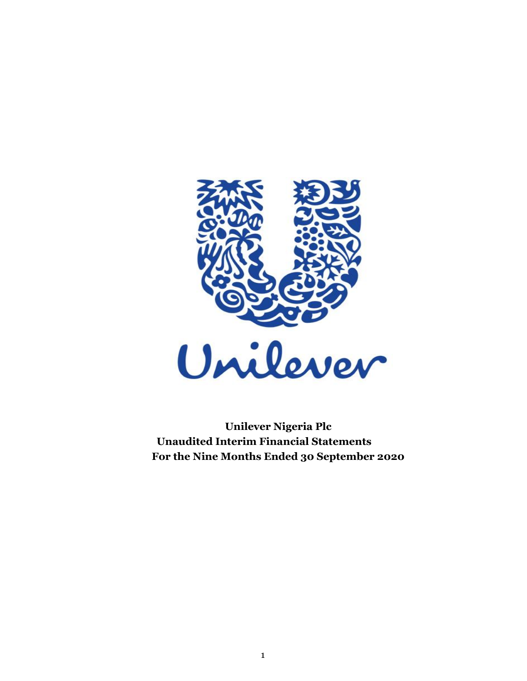

 **Unaudited Interim Financial Statements Unilever Nigeria Plc For the Nine Months Ended 30 September 2020**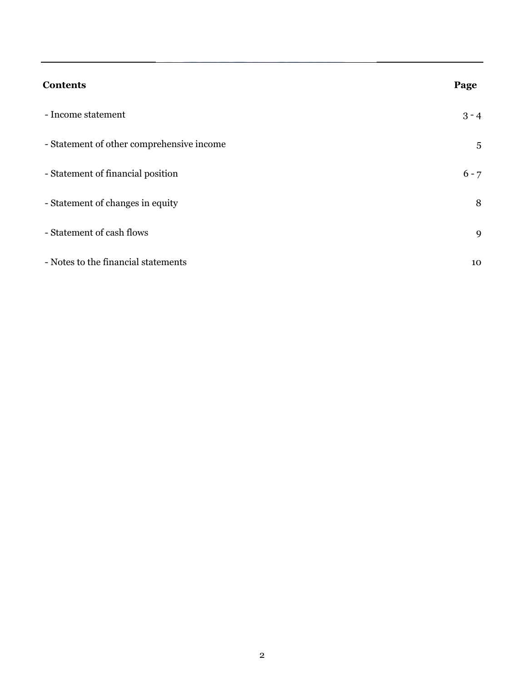| <b>Contents</b>                           | Page    |
|-------------------------------------------|---------|
| - Income statement                        | $3 - 4$ |
| - Statement of other comprehensive income | 5       |
| - Statement of financial position         | $6 - 7$ |
| - Statement of changes in equity          | 8       |
| - Statement of cash flows                 | 9       |
| - Notes to the financial statements       | 10      |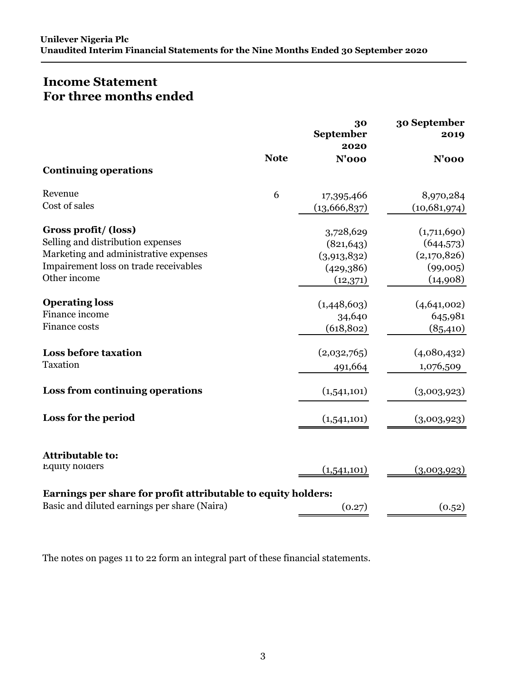# **Income Statement For three months ended**

|                                                               |             | 30<br>September<br>2020 | 30 September<br>2019 |
|---------------------------------------------------------------|-------------|-------------------------|----------------------|
|                                                               | <b>Note</b> | $N'$ 000                | <b>N'000</b>         |
| <b>Continuing operations</b>                                  |             |                         |                      |
| Revenue                                                       | 6           | 17,395,466              | 8,970,284            |
| Cost of sales                                                 |             | (13,666,837)            | (10,681,974)         |
| Gross profit/(loss)                                           |             | 3,728,629               | (1,711,690)          |
| Selling and distribution expenses                             |             | (821, 643)              | (644, 573)           |
| Marketing and administrative expenses                         |             | (3,913,832)             | (2,170,826)          |
| Impairement loss on trade receivables                         |             | (429,386)               | (99,005)             |
| Other income                                                  |             | (12, 371)               | (14,908)             |
| <b>Operating loss</b>                                         |             | (1,448,603)             | (4,641,002)          |
| Finance income                                                |             | 34,640                  | 645,981              |
| Finance costs                                                 |             | (618, 802)              | (85, 410)            |
| <b>Loss before taxation</b>                                   |             | (2,032,765)             | (4,080,432)          |
| Taxation                                                      |             | 491,664                 | 1,076,509            |
| Loss from continuing operations                               |             | (1,541,101)             | (3,003,923)          |
| Loss for the period                                           |             | (1,541,101)             | (3,003,923)          |
| <b>Attributable to:</b>                                       |             |                         |                      |
| <b>Equity holders</b>                                         |             | (1,541,101)             | (3,003,923)          |
| Earnings per share for profit attributable to equity holders: |             |                         |                      |
| Basic and diluted earnings per share (Naira)                  |             | (0.27)                  | (0.52)               |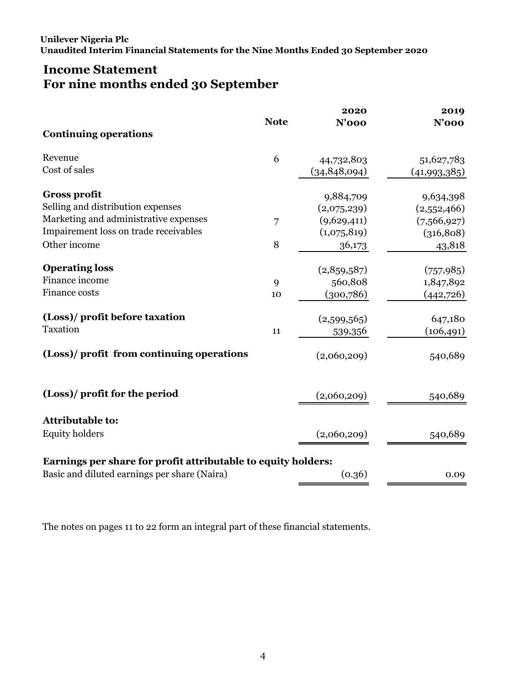# **Income Statement For nine months ended 30 September**

|                                                               |             | 2020           | 2019         |
|---------------------------------------------------------------|-------------|----------------|--------------|
|                                                               | <b>Note</b> | $N'$ 000       | <b>N'000</b> |
| <b>Continuing operations</b>                                  |             |                |              |
| Revenue                                                       | 6           | 44,732,803     | 51,627,783   |
| Cost of sales                                                 |             | (34, 848, 094) | (41,993,385) |
| <b>Gross profit</b>                                           |             | 9,884,709      | 9,634,398    |
| Selling and distribution expenses                             |             | (2,075,239)    | (2,552,466)  |
| Marketing and administrative expenses                         | 7           | (9,629,411)    | (7,566,927)  |
| Impairement loss on trade receivables                         |             | (1,075,819)    | (316, 808)   |
| Other income                                                  | 8           | 36,173         | 43,818       |
| <b>Operating loss</b>                                         |             | (2,859,587)    | (757, 985)   |
| Finance income                                                | 9           | 560,808        | 1,847,892    |
| Finance costs                                                 | 10          | (300, 786)     | (442,726)    |
| (Loss)/ profit before taxation                                |             | (2,599,565)    | 647,180      |
| Taxation                                                      | 11          | 539,356        | (106, 491)   |
| (Loss)/ profit from continuing operations                     |             | (2,060,209)    | 540,689      |
| (Loss)/ profit for the period                                 |             | (2,060,209)    | 540,689      |
| <b>Attributable to:</b>                                       |             |                |              |
| <b>Equity holders</b>                                         |             | (2,060,209)    | 540,689      |
| Earnings per share for profit attributable to equity holders: |             |                |              |
| Basic and diluted earnings per share (Naira)                  |             | (0.36)         | 0.09         |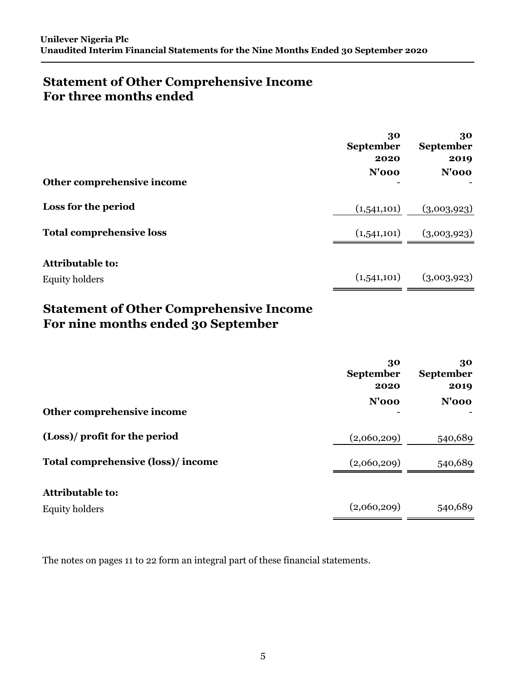# **Statement of Other Comprehensive Income For three months ended**

| Other comprehensive income                       | 30<br><b>September</b><br>2020<br>$N'$ 000 | 30<br>September<br>2019<br>$N'$ 000 |
|--------------------------------------------------|--------------------------------------------|-------------------------------------|
| Loss for the period                              | (1,541,101)                                | (3,003,923)                         |
| <b>Total comprehensive loss</b>                  | (1,541,101)                                | (3,003,923)                         |
| <b>Attributable to:</b><br><b>Equity holders</b> | (1,541,101)                                | (3,003,923)                         |

# **Statement of Other Comprehensive Income For nine months ended 30 September**

|                                   | 30<br><b>September</b><br>2020 | 30<br><b>September</b><br>2019 |
|-----------------------------------|--------------------------------|--------------------------------|
| Other comprehensive income        | $N'$ 000                       | $N'$ 000                       |
| (Loss)/ profit for the period     | (2,060,209)                    | 540,689                        |
| Total comprehensive (loss)/income | (2,060,209)                    | 540,689                        |
| <b>Attributable to:</b>           |                                |                                |
| Equity holders                    | (2,060,209)                    | 540,689                        |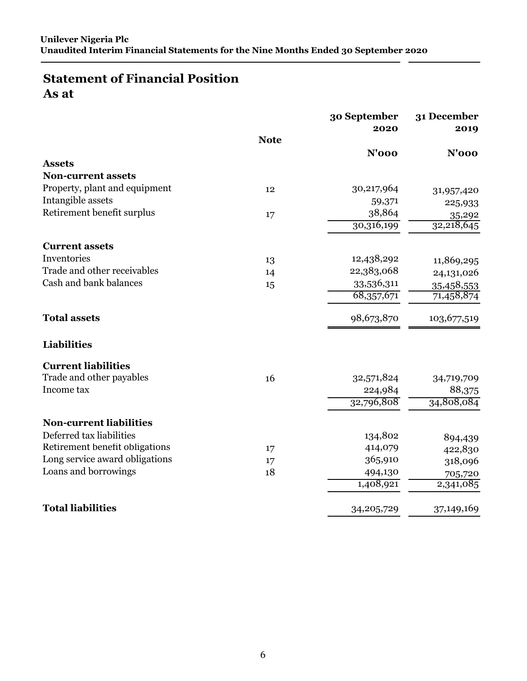# **Statement of Financial Position As at**

|                                |             | 30 September<br>2020 | 31 December<br>2019 |
|--------------------------------|-------------|----------------------|---------------------|
|                                | <b>Note</b> |                      |                     |
|                                |             | $N'$ 000             | $N'$ 000            |
| <b>Assets</b>                  |             |                      |                     |
| <b>Non-current assets</b>      |             |                      |                     |
| Property, plant and equipment  | 12          | 30,217,964           | 31,957,420          |
| Intangible assets              |             | 59,371               | 225,933             |
| Retirement benefit surplus     | 17          | 38,864               | 35,292              |
|                                |             | 30,316,199           | 32,218,645          |
| <b>Current assets</b>          |             |                      |                     |
| Inventories                    | 13          | 12,438,292           | 11,869,295          |
| Trade and other receivables    | 14          | 22,383,068           | 24,131,026          |
| Cash and bank balances         | 15          | 33,536,311           | 35,458,553          |
|                                |             | 68,357,671           | 71,458,874          |
| <b>Total assets</b>            |             | 98,673,870           | 103,677,519         |
| <b>Liabilities</b>             |             |                      |                     |
| <b>Current liabilities</b>     |             |                      |                     |
| Trade and other payables       | 16          | 32,571,824           | 34,719,709          |
| Income tax                     |             | 224,984              | 88,375              |
|                                |             | 32,796,808           | 34,808,084          |
| <b>Non-current liabilities</b> |             |                      |                     |
| Deferred tax liabilities       |             | 134,802              | 894,439             |
| Retirement benefit obligations | 17          | 414,079              | 422,830             |
| Long service award obligations | 17          | 365,910              | 318,096             |
| Loans and borrowings           | 18          | 494,130              | 705,720             |
|                                |             | 1,408,921            | 2,341,085           |
| <b>Total liabilities</b>       |             | 34, 205, 729         | 37,149,169          |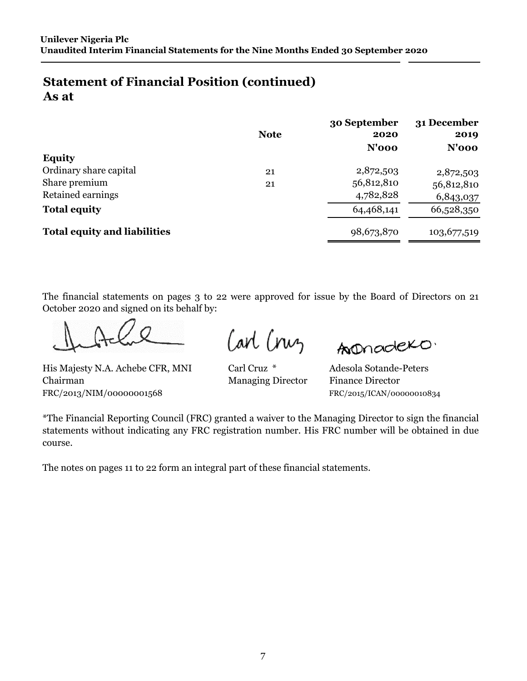# **Statement of Financial Position (continued) As at**

|                                     | <b>Note</b> | 30 September<br>2020<br>$N'$ 000 | 31 December<br>2019<br>$N'$ 000 |
|-------------------------------------|-------------|----------------------------------|---------------------------------|
| <b>Equity</b>                       |             |                                  |                                 |
| Ordinary share capital              | 21          | 2,872,503                        | 2,872,503                       |
| Share premium                       | 21          | 56,812,810                       | 56,812,810                      |
| Retained earnings                   |             | 4,782,828                        | 6,843,037                       |
| <b>Total equity</b>                 |             | 64,468,141                       | 66,528,350                      |
| <b>Total equity and liabilities</b> |             | 98,673,870                       | 103,677,519                     |

The financial statements on pages 3 to 22 were approved for issue by the Board of Directors on 21 October 2020 and signed on its behalf by:

Carl Cruz

Anonadexo.

Carl Cruz \* His Majesty N.A. Achebe CFR, MNI Carl Cruz \* Adesola Sotande-Peters Chairman Managing Director Finance Director FRC/2013/NIM/00000001568 FRC/2015/ICAN/00000010834

\*The Financial Reporting Council (FRC) granted a waiver to the Managing Director to sign the financial statements without indicating any FRC registration number. His FRC number will be obtained in due course.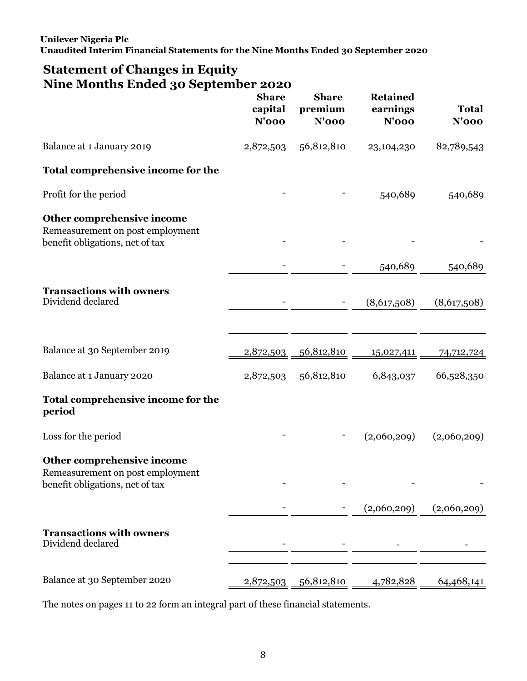# **Statement of Changes in Equity Nine Months Ended 30 September 2020**

|                                                                                                   | <b>Share</b><br>capital<br><b>N'000</b> | <b>Share</b><br>premium<br><b>N'000</b> | <b>Retained</b><br>earnings<br>$N'$ 000 | <b>Total</b><br>$N'$ 000 |
|---------------------------------------------------------------------------------------------------|-----------------------------------------|-----------------------------------------|-----------------------------------------|--------------------------|
| Balance at 1 January 2019                                                                         | 2,872,503                               | 56,812,810                              | 23,104,230                              | 82,789,543               |
| Total comprehensive income for the                                                                |                                         |                                         |                                         |                          |
| Profit for the period                                                                             |                                         |                                         | 540,689                                 | 540,689                  |
| Other comprehensive income<br>Remeasurement on post employment<br>benefit obligations, net of tax |                                         |                                         |                                         |                          |
|                                                                                                   |                                         |                                         | 540,689                                 | 540,689                  |
| <b>Transactions with owners</b><br>Dividend declared                                              |                                         |                                         | (8,617,508)                             | (8,617,508)              |
| Balance at 30 September 2019                                                                      | 2,872,503                               | 56,812,810                              | 15,027,411                              | 74,712,724               |
| Balance at 1 January 2020                                                                         | 2,872,503                               | 56,812,810                              | 6,843,037                               | 66,528,350               |
| Total comprehensive income for the<br>period                                                      |                                         |                                         |                                         |                          |
| Loss for the period                                                                               |                                         |                                         | (2,060,209)                             | (2,060,209)              |
| Other comprehensive income<br>Remeasurement on post employment<br>benefit obligations, net of tax |                                         |                                         |                                         |                          |
|                                                                                                   |                                         |                                         | (2,060,209)                             | (2,060,209)              |
| <b>Transactions with owners</b><br>Dividend declared                                              |                                         |                                         |                                         |                          |
| Balance at 30 September 2020                                                                      | 2,872,503                               | 56,812,810                              | 4,782,828                               | 64,468,141               |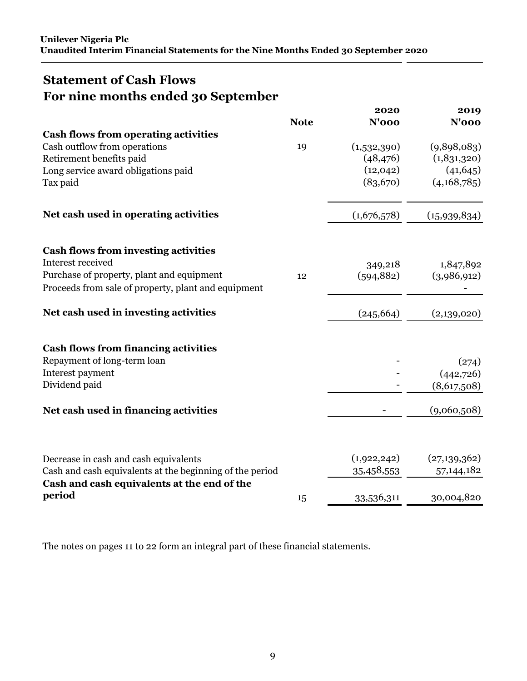# <span id="page-8-0"></span>**Statement of Cash Flows For nine months ended 30 September**

|                                                                                                                                                                      | <b>Note</b> | 2020<br>$N'$ 000                                  | 2019<br>$N'$ 000                                       |
|----------------------------------------------------------------------------------------------------------------------------------------------------------------------|-------------|---------------------------------------------------|--------------------------------------------------------|
| <b>Cash flows from operating activities</b>                                                                                                                          |             |                                                   |                                                        |
| Cash outflow from operations<br>Retirement benefits paid<br>Long service award obligations paid<br>Tax paid                                                          | 19          | (1,532,390)<br>(48, 476)<br>(12, 042)<br>(83,670) | (9,898,083)<br>(1,831,320)<br>(41, 645)<br>(4,168,785) |
| Net cash used in operating activities                                                                                                                                |             | (1,676,578)                                       | (15,939,834)                                           |
| <b>Cash flows from investing activities</b><br>Interest received<br>Purchase of property, plant and equipment<br>Proceeds from sale of property, plant and equipment | 12          | 349,218<br>(594, 882)                             | 1,847,892<br>(3,986,912)                               |
| Net cash used in investing activities                                                                                                                                |             | (245, 664)                                        | (2,139,020)                                            |
| <b>Cash flows from financing activities</b><br>Repayment of long-term loan<br>Interest payment<br>Dividend paid                                                      |             |                                                   | (274)<br>(442,726)<br>(8,617,508)                      |
| Net cash used in financing activities                                                                                                                                |             |                                                   | (9,060,508)                                            |
| Decrease in cash and cash equivalents<br>Cash and cash equivalents at the beginning of the period<br>Cash and cash equivalents at the end of the                     |             | (1,922,242)<br>35,458,553                         | (27, 139, 362)<br>57, 144, 182                         |
| period                                                                                                                                                               | 15          | 33,536,311                                        | 30,004,820                                             |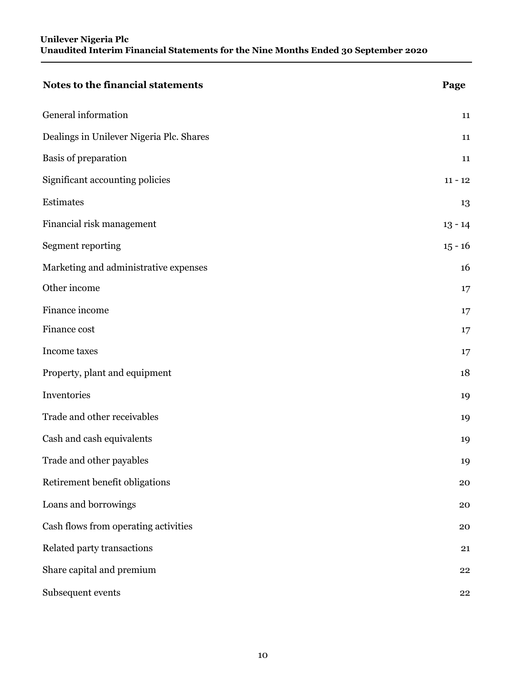<span id="page-9-0"></span>

| Notes to the financial statements        | Page      |
|------------------------------------------|-----------|
| General information                      | 11        |
| Dealings in Unilever Nigeria Plc. Shares | 11        |
| Basis of preparation                     | 11        |
| Significant accounting policies          | $11 - 12$ |
| Estimates                                | 13        |
| Financial risk management                | $13 - 14$ |
| Segment reporting                        | $15 - 16$ |
| Marketing and administrative expenses    | 16        |
| Other income                             | 17        |
| Finance income                           | 17        |
| Finance cost                             | 17        |
| Income taxes                             | 17        |
| Property, plant and equipment            | 18        |
| Inventories                              | 19        |
| Trade and other receivables              | 19        |
| Cash and cash equivalents                | 19        |
| Trade and other payables                 | 19        |
| Retirement benefit obligations           | 20        |
| Loans and borrowings                     | 20        |
| Cash flows from operating activities     | 20        |
| Related party transactions               | 21        |
| Share capital and premium                | 22        |
| Subsequent events                        | 22        |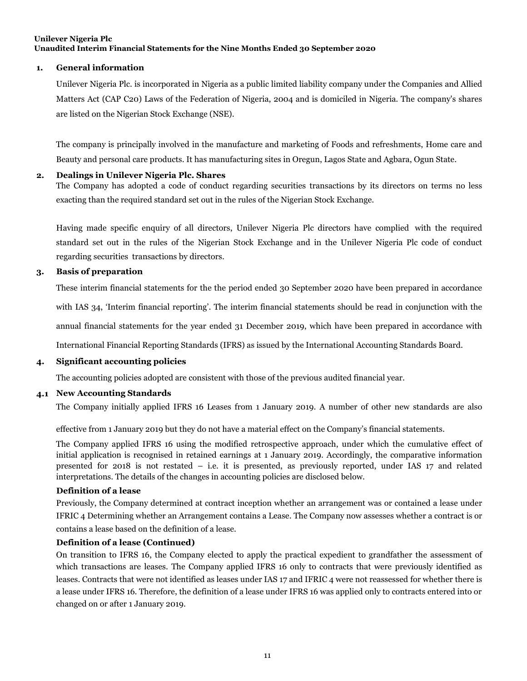#### <span id="page-10-0"></span>**1. General information**

 are listed on the Nigerian Stock Exchange (NSE). Unilever Nigeria Plc. is incorporated in Nigeria as a public limited liability company under the Companies and Allied Matters Act (CAP C20) Laws of the Federation of Nigeria, 2004 and is domiciled in Nigeria. The company's shares

 Beauty and personal care products. It has manufacturing sites in Oregun, Lagos State and Agbara, Ogun State. The company is principally involved in the manufacture and marketing of Foods and refreshments, Home care and

#### **2. Dealings in Unilever Nigeria Plc. Shares**

 exacting than the required standard set out in the rules of the Nigerian Stock Exchange. The Company has adopted a code of conduct regarding securities transactions by its directors on terms no less

 regarding securities transactions by directors. Having made specific enquiry of all directors, Unilever Nigeria Plc directors have complied with the required standard set out in the rules of the Nigerian Stock Exchange and in the Unilever Nigeria Plc code of conduct

#### **3. Basis of preparation**

These interim financial statements for the the period ended 30 September 2020 have been prepared in accordance

with IAS 34, 'Interim financial reporting'. The interim financial statements should be read in conjunction with the

annual financial statements for the year ended 31 December 2019, which have been prepared in accordance with

International Financial Reporting Standards (IFRS) as issued by the International Accounting Standards Board.

#### **4. Significant accounting policies**

The accounting policies adopted are consistent with those of the previous audited financial year.

#### **4.1 New Accounting Standards**

The Company initially applied IFRS 16 Leases from 1 January 2019. A number of other new standards are also

effective from 1 January 2019 but they do not have a material effect on the Company's financial statements.

 interpretations. The details of the changes in accounting policies are disclosed below. The Company applied IFRS 16 using the modified retrospective approach, under which the cumulative effect of initial application is recognised in retained earnings at 1 January 2019. Accordingly, the comparative information presented for 2018 is not restated – i.e. it is presented, as previously reported, under IAS 17 and related

#### **Definition of a lease**

 contains a lease based on the definition of a lease. Previously, the Company determined at contract inception whether an arrangement was or contained a lease under IFRIC 4 Determining whether an Arrangement contains a Lease. The Company now assesses whether a contract is or

#### **Definition of a lease (Continued)**

 a lease under IFRS 16. Therefore, the definition of a lease under IFRS 16 was applied only to contracts entered into or changed on or after 1 January 2019. On transition to IFRS 16, the Company elected to apply the practical expedient to grandfather the assessment of which transactions are leases. The Company applied IFRS 16 only to contracts that were previously identified as leases. Contracts that were not identified as leases under IAS 17 and IFRIC 4 were not reassessed for whether there is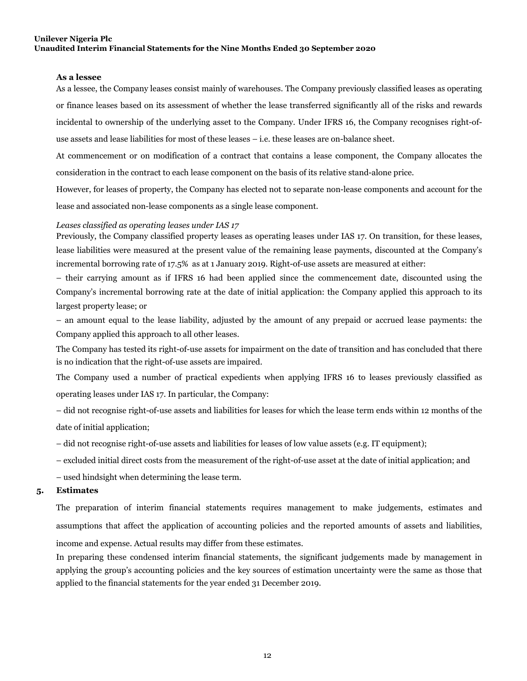#### <span id="page-11-0"></span>**As a lessee**

 use assets and lease liabilities for most of these leases – i.e. these leases are on-balance sheet. As a lessee, the Company leases consist mainly of warehouses. The Company previously classified leases as operating or finance leases based on its assessment of whether the lease transferred significantly all of the risks and rewards incidental to ownership of the underlying asset to the Company. Under IFRS 16, the Company recognises right-of-

 consideration in the contract to each lease component on the basis of its relative stand-alone price. At commencement or on modification of a contract that contains a lease component, the Company allocates the

 lease and associated non-lease components as a single lease component. However, for leases of property, the Company has elected not to separate non-lease components and account for the

#### *Leases classified as operating leases under IAS 17*

 incremental borrowing rate of 17.5% as at 1 January 2019. Right-of-use assets are measured at either: Previously, the Company classified property leases as operating leases under IAS 17. On transition, for these leases, lease liabilities were measured at the present value of the remaining lease payments, discounted at the Company's

 largest property lease; or – their carrying amount as if IFRS 16 had been applied since the commencement date, discounted using the Company's incremental borrowing rate at the date of initial application: the Company applied this approach to its

 Company applied this approach to all other leases. – an amount equal to the lease liability, adjusted by the amount of any prepaid or accrued lease payments: the

 is no indication that the right-of-use assets are impaired. The Company has tested its right-of-use assets for impairment on the date of transition and has concluded that there

 operating leases under IAS 17. In particular, the Company: The Company used a number of practical expedients when applying IFRS 16 to leases previously classified as

– did not recognise right-of-use assets and liabilities for leases for which the lease term ends within 12 months of the date of initial application;

– did not recognise right-of-use assets and liabilities for leases of low value assets (e.g. IT equipment);

- excluded initial direct costs from the measurement of the right-of-use asset at the date of initial application; and
- used hindsight when determining the lease term.

#### **5. Estimates**

 income and expense. Actual results may differ from these estimates. The preparation of interim financial statements requires management to make judgements, estimates and assumptions that affect the application of accounting policies and the reported amounts of assets and liabilities,

 applied to the financial statements for the year ended 31 December 2019. In preparing these condensed interim financial statements, the significant judgements made by management in applying the group's accounting policies and the key sources of estimation uncertainty were the same as those that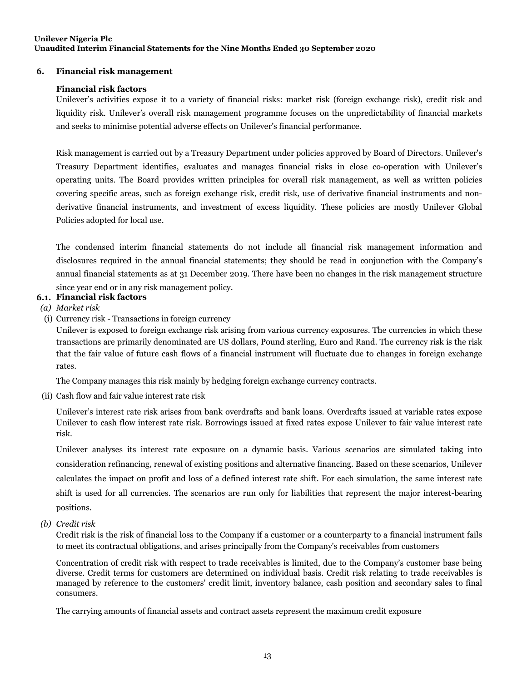#### <span id="page-12-0"></span> **6. Financial risk management**

#### **Financial risk factors**

 and seeks to minimise potential adverse effects on Unilever's financial performance. Unilever's activities expose it to a variety of financial risks: market risk (foreign exchange risk), credit risk and liquidity risk. Unilever's overall risk management programme focuses on the unpredictability of financial markets

Risk management is carried out by a Treasury Department under policies approved by Board of Directors. Unilever's Treasury Department identifies, evaluates and manages financial risks in close co-operation with Unilever's operating units. The Board provides written principles for overall risk management, as well as written policies covering specific areas, such as foreign exchange risk, credit risk, use of derivative financial instruments and nonderivative financial instruments, and investment of excess liquidity. These policies are mostly Unilever Global Policies adopted for local use.

 since year end or in any risk management policy. The condensed interim financial statements do not include all financial risk management information and disclosures required in the annual financial statements; they should be read in conjunction with the Company's annual financial statements as at 31 December 2019. There have been no changes in the risk management structure

- **6.1. Financial risk factors**
- *(a) Market risk*
- (i) Currency risk Transactions in foreign currency

Unilever is exposed to foreign exchange risk arising from various currency exposures. The currencies in which these transactions are primarily denominated are US dollars, Pound sterling, Euro and Rand. The currency risk is the risk that the fair value of future cash flows of a financial instrument will fluctuate due to changes in foreign exchange rates.

The Company manages this risk mainly by hedging foreign exchange currency contracts.

(ii) Cash flow and fair value interest rate risk

Unilever's interest rate risk arises from bank overdrafts and bank loans. Overdrafts issued at variable rates expose Unilever to cash flow interest rate risk. Borrowings issued at fixed rates expose Unilever to fair value interest rate risk.

Unilever analyses its interest rate exposure on a dynamic basis. Various scenarios are simulated taking into consideration refinancing, renewal of existing positions and alternative financing. Based on these scenarios, Unilever calculates the impact on profit and loss of a defined interest rate shift. For each simulation, the same interest rate shift is used for all currencies. The scenarios are run only for liabilities that represent the major interest-bearing positions.

*(b) Credit risk* 

 to meet its contractual obligations, and arises principally from the Company's receivables from customers Credit risk is the risk of financial loss to the Company if a customer or a counterparty to a financial instrument fails

Concentration of credit risk with respect to trade receivables is limited, due to the Company's customer base being diverse. Credit terms for customers are determined on individual basis. Credit risk relating to trade receivables is managed by reference to the customers' credit limit, inventory balance, cash position and secondary sales to final consumers.

The carrying amounts of financial assets and contract assets represent the maximum credit exposure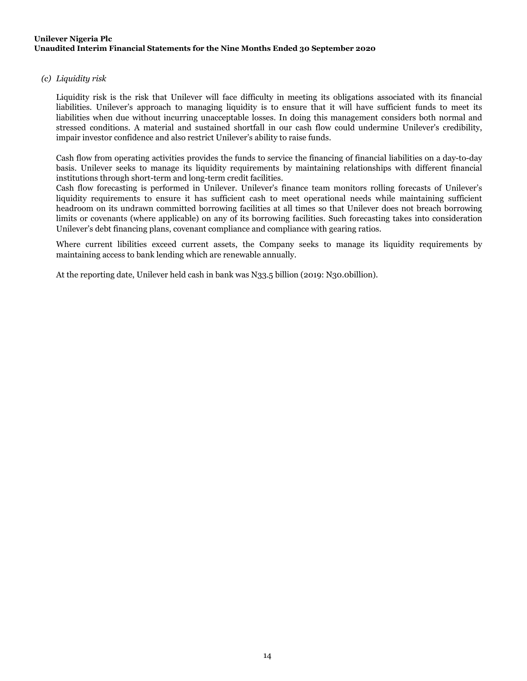#### <span id="page-13-0"></span>*(c) Liquidity risk*

 impair investor confidence and also restrict Unilever's ability to raise funds. Liquidity risk is the risk that Unilever will face difficulty in meeting its obligations associated with its financial liabilities. Unilever's approach to managing liquidity is to ensure that it will have sufficient funds to meet its liabilities when due without incurring unacceptable losses. In doing this management considers both normal and stressed conditions. A material and sustained shortfall in our cash flow could undermine Unilever's credibility,

 institutions through short-term and long-term credit facilities. Cash flow from operating activities provides the funds to service the financing of financial liabilities on a day-to-day basis. Unilever seeks to manage its liquidity requirements by maintaining relationships with different financial

 Unilever's debt financing plans, covenant compliance and compliance with gearing ratios. Cash flow forecasting is performed in Unilever. Unilever's finance team monitors rolling forecasts of Unilever's liquidity requirements to ensure it has sufficient cash to meet operational needs while maintaining sufficient headroom on its undrawn committed borrowing facilities at all times so that Unilever does not breach borrowing limits or covenants (where applicable) on any of its borrowing facilities. Such forecasting takes into consideration

 maintaining access to bank lending which are renewable annually. Where current libilities exceed current assets, the Company seeks to manage its liquidity requirements by

At the reporting date, Unilever held cash in bank was N33.5 billion (2019: N30.0billion).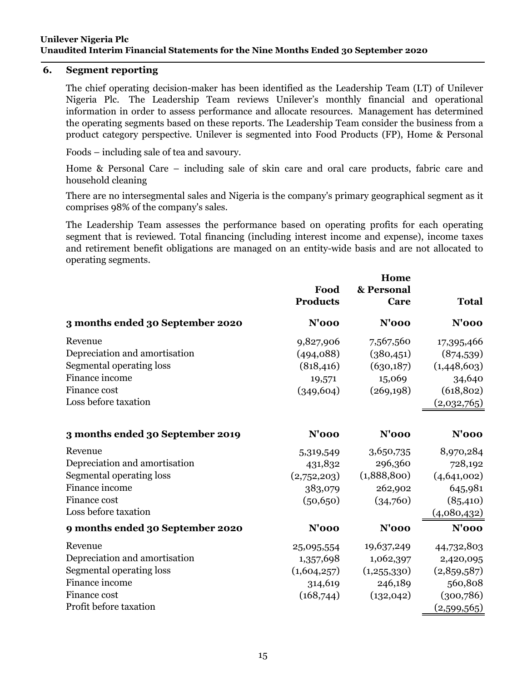### **6. Segment reporting**

The chief operating decision-maker has been identified as the Leadership Team (LT) of Unilever Nigeria Plc. The Leadership Team reviews Unilever's monthly financial and operational information in order to assess performance and allocate resources. Management has determined the operating segments based on these reports. The Leadership Team consider the business from a product category perspective. Unilever is segmented into Food Products (FP), Home & Personal

Foods – including sale of tea and savoury.

Home & Personal Care – including sale of skin care and oral care products, fabric care and household cleaning

There are no intersegmental sales and Nigeria is the company's primary geographical segment as it comprises 98% of the company's sales.

The Leadership Team assesses the performance based on operating profits for each operating segment that is reviewed. Total financing (including interest income and expense), income taxes and retirement benefit obligations are managed on an entity-wide basis and are not allocated to operating segments.

|                                  | Food<br><b>Products</b> | Home<br>& Personal<br>Care | <b>Total</b> |
|----------------------------------|-------------------------|----------------------------|--------------|
| 3 months ended 30 September 2020 | $N'$ 000                | $N'$ 000                   | $N'$ 000     |
| Revenue                          | 9,827,906               | 7,567,560                  | 17,395,466   |
| Depreciation and amortisation    | (494,088)               | (380, 451)                 | (874, 539)   |
| Segmental operating loss         | (818, 416)              | (630,187)                  | (1,448,603)  |
| Finance income                   | 19,571                  | 15,069                     | 34,640       |
| Finance cost                     | (349, 604)              | (269, 198)                 | (618, 802)   |
| Loss before taxation             |                         |                            | (2,032,765)  |
| 3 months ended 30 September 2019 | $N'$ 000                | $N'$ 000                   | $N'$ 000     |
| Revenue                          | 5,319,549               | 3,650,735                  | 8,970,284    |
| Depreciation and amortisation    | 431,832                 | 296,360                    | 728,192      |
| Segmental operating loss         | (2,752,203)             | (1,888,800)                | (4,641,002)  |
| Finance income                   | 383,079                 | 262,902                    | 645,981      |
| Finance cost                     | (50, 650)               | (34,760)                   | (85, 410)    |
| Loss before taxation             |                         |                            | (4,080,432)  |
| 9 months ended 30 September 2020 | $N'$ 000                | <b>N'000</b>               | $N'$ 000     |
| Revenue                          | 25,095,554              | 19,637,249                 | 44,732,803   |
| Depreciation and amortisation    | 1,357,698               | 1,062,397                  | 2,420,095    |
| Segmental operating loss         | (1,604,257)             | (1,255,330)                | (2,859,587)  |
| Finance income                   | 314,619                 | 246,189                    | 560,808      |
| Finance cost                     | (168,744)               | (132, 042)                 | (300, 786)   |
| Profit before taxation           |                         |                            | (2,599,565)  |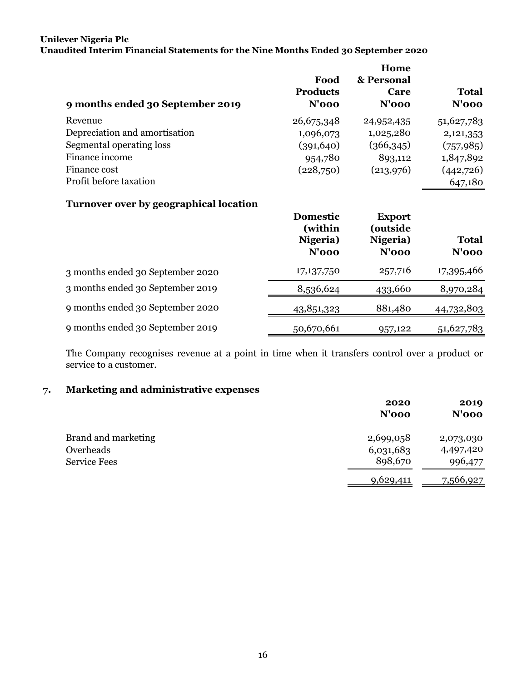## <span id="page-15-0"></span>**Unilever Nigeria Plc**

**Unaudited Interim Financial Statements for the Nine Months Ended 30 September 2020** 

| 9 months ended 30 September 2019 | Food<br><b>Products</b><br>$N'$ 000 | Home<br>& Personal<br>Care<br>$N'$ 000 | <b>Total</b><br>$N'$ 000 |
|----------------------------------|-------------------------------------|----------------------------------------|--------------------------|
| Revenue                          | 26,675,348                          | 24,952,435                             | 51,627,783               |
| Depreciation and amortisation    | 1,096,073                           | 1,025,280                              | 2,121,353                |
| Segmental operating loss         | (391, 640)                          | (366,345)                              | (757, 985)               |
| Finance income                   | 954,780                             | 893,112                                | 1,847,892                |
| Finance cost                     | (228,750)                           | (213,976)                              | (442,726)                |
| Profit before taxation           |                                     |                                        | 647,180                  |

### **Turnover over by geographical location**

|                                  | <b>Domestic</b><br>(within<br>Nigeria)<br>$N'$ 000 | <b>Export</b><br>(outside<br>Nigeria)<br>$N'$ 000 | <b>Total</b><br>N'ooo |
|----------------------------------|----------------------------------------------------|---------------------------------------------------|-----------------------|
| 3 months ended 30 September 2020 | 17,137,750                                         | 257,716                                           | 17,395,466            |
| 3 months ended 30 September 2019 | 8,536,624                                          | 433,660                                           | 8,970,284             |
| 9 months ended 30 September 2020 | 43,851,323                                         | 881,480                                           | 44,732,803            |
| 9 months ended 30 September 2019 | 50,670,661                                         | 957,122                                           | 51,627,783            |

The Company recognises revenue at a point in time when it transfers control over a product or service to a customer.

# **7. Marketing and administrative expenses**

|                                                         | 2020<br>$N'$ 000                  | 2019<br>$N'$ 000                  |
|---------------------------------------------------------|-----------------------------------|-----------------------------------|
| Brand and marketing<br>Overheads<br><b>Service Fees</b> | 2,699,058<br>6,031,683<br>898,670 | 2,073,030<br>4,497,420<br>996,477 |
|                                                         | 9,629,411                         | 7,566,927                         |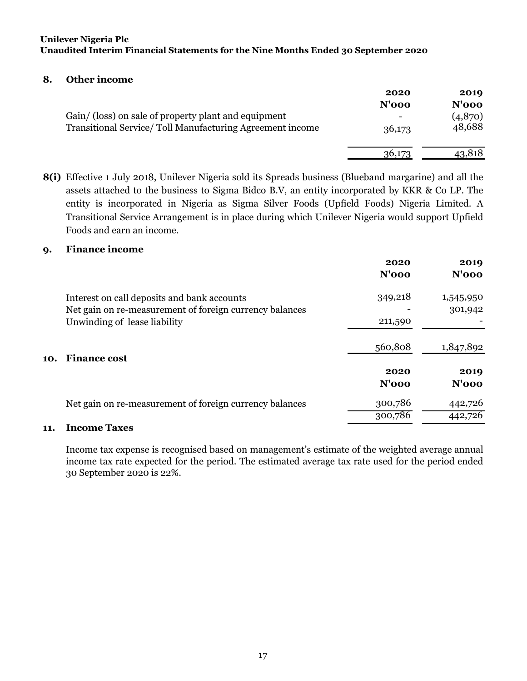### <span id="page-16-0"></span>**8. Other income**

|                                                                                                                  | 2020<br>$N'$ 000 | 2019<br>$N'$ 000  |
|------------------------------------------------------------------------------------------------------------------|------------------|-------------------|
| Gain/ (loss) on sale of property plant and equipment<br>Transitional Service/Toll Manufacturing Agreement income | -<br>36,173      | (4,870)<br>48,688 |
|                                                                                                                  | 36,173           | 43,818            |

**8(i)** Effective 1 July 2018, Unilever Nigeria sold its Spreads business (Blueband margarine) and all the assets attached to the business to Sigma Bidco B.V, an entity incorporated by KKR & Co LP. The entity is incorporated in Nigeria as Sigma Silver Foods (Upfield Foods) Nigeria Limited. A Transitional Service Arrangement is in place during which Unilever Nigeria would support Upfield Foods and earn an income.

### **9. Finance income**

|     |                                                         | 2020<br>$N'$ 000 | 2019<br>$N'$ 000 |
|-----|---------------------------------------------------------|------------------|------------------|
|     | Interest on call deposits and bank accounts             | 349,218          | 1,545,950        |
|     | Net gain on re-measurement of foreign currency balances |                  | 301,942          |
|     | Unwinding of lease liability                            | 211,590          |                  |
| 10. | <b>Finance cost</b>                                     | 560,808          | 1,847,892        |
|     |                                                         | 2020             | 2019             |
|     |                                                         | $N'$ 000         | $N'$ 000         |
|     | Net gain on re-measurement of foreign currency balances | 300,786          | 442,726          |
|     |                                                         | 300,786          | 442,726          |
|     |                                                         |                  |                  |

### **11. Income Taxes**

Income tax expense is recognised based on management's estimate of the weighted average annual income tax rate expected for the period. The estimated average tax rate used for the period ended 30 September 2020 is 22%.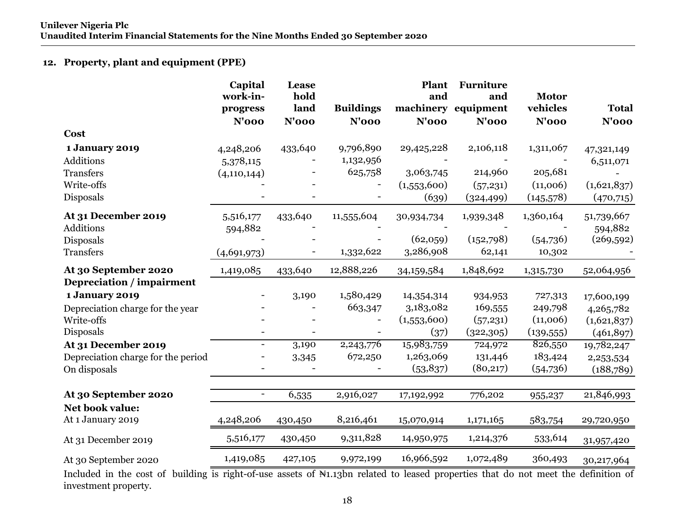## **12. Property, plant and equipment (PPE)**

|                                                                                      | Capital<br>work-in-<br>progress<br>$N'$ 000 | Lease<br>hold<br>land<br>$N'$ 000 | <b>Buildings</b><br>$N'$ 000      | Plant<br>and<br><b>N'000</b>                    | <b>Furniture</b><br>and<br>machinery equipment<br>$N'$ 000 | <b>Motor</b><br>vehicles<br>$N'$ 000          | <b>Total</b><br>$N'$ 000                             |
|--------------------------------------------------------------------------------------|---------------------------------------------|-----------------------------------|-----------------------------------|-------------------------------------------------|------------------------------------------------------------|-----------------------------------------------|------------------------------------------------------|
| <b>Cost</b>                                                                          |                                             |                                   |                                   |                                                 |                                                            |                                               |                                                      |
| 1 January 2019<br>Additions<br>Transfers<br>Write-offs<br>Disposals                  | 4,248,206<br>5,378,115<br>(4, 110, 144)     | 433,640                           | 9,796,890<br>1,132,956<br>625,758 | 29,425,228<br>3,063,745<br>(1,553,600)<br>(639) | 2,106,118<br>214,960<br>(57,231)<br>(324, 499)             | 1,311,067<br>205,681<br>(11,006)<br>(145,578) | 47,321,149<br>6,511,071<br>(1,621,837)<br>(470, 715) |
| At 31 December 2019<br>Additions<br>Disposals<br>Transfers                           | 5,516,177<br>594,882<br>(4,691,973)         | 433,640                           | 11,555,604<br>1,332,622           | 30,934,734<br>(62,059)<br>3,286,908             | 1,939,348<br>(152,798)<br>62,141                           | 1,360,164<br>(54,736)<br>10,302               | 51,739,667<br>594,882<br>(269, 592)                  |
| At 30 September 2020<br>Depreciation / impairment                                    | 1,419,085                                   | 433,640                           | 12,888,226                        | 34,159,584                                      | 1,848,692                                                  | 1,315,730                                     | 52,064,956                                           |
| <b>1 January 2019</b><br>Depreciation charge for the year<br>Write-offs<br>Disposals |                                             | 3,190                             | 1,580,429<br>663,347              | 14,354,314<br>3,183,082<br>(1,553,600)<br>(37)  | 934,953<br>169,555<br>(57,231)<br>(322, 305)               | 727,313<br>249,798<br>(11,006)<br>(139, 555)  | 17,600,199<br>4,265,782<br>(1,621,837)<br>(461,897)  |
| At 31 December 2019<br>Depreciation charge for the period<br>On disposals            |                                             | 3,190<br>3,345                    | 2,243,776<br>672,250              | 15,983,759<br>1,263,069<br>(53,837)             | 724,972<br>131,446<br>(80,217)                             | 826,550<br>183,424<br>(54,736)                | 19,782,247<br>2,253,534<br>(188,789)                 |
| At 30 September 2020                                                                 | $\blacksquare$                              | 6,535                             | 2,916,027                         | 17,192,992                                      | 776,202                                                    | 955,237                                       | 21,846,993                                           |
| Net book value:<br>At 1 January 2019                                                 | 4,248,206                                   | 430,450                           | 8,216,461                         | 15,070,914                                      | 1,171,165                                                  | 583,754                                       | 29,720,950                                           |
| At 31 December 2019                                                                  | 5,516,177                                   | 430,450                           | 9,311,828                         | 14,950,975                                      | 1,214,376                                                  | 533,614                                       | 31,957,420                                           |
| At 30 September 2020                                                                 | 1,419,085                                   | 427,105                           | 9,972,199                         | 16,966,592                                      | 1,072,489                                                  | 360,493                                       | 30,217,964                                           |

Included in the cost of building is right-of-use assets of N1.13bn related to leased properties that do not meet the definition of investment property.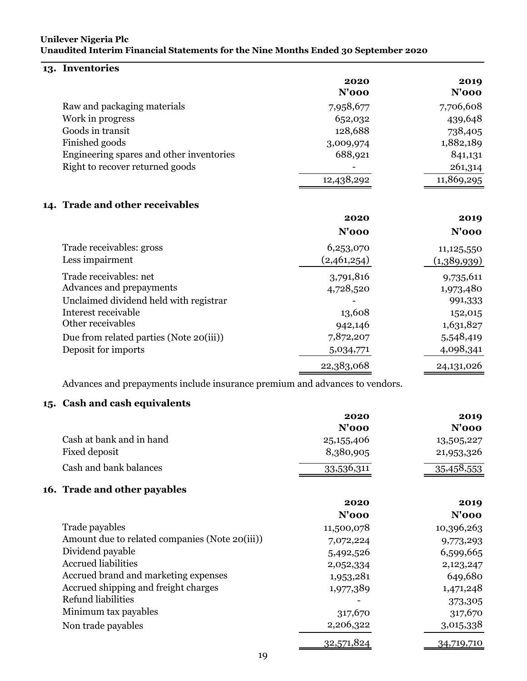# **13. Inventories**

|                                          | 2020<br>$N'$ 000 | 2019<br>$N'$ 000 |
|------------------------------------------|------------------|------------------|
| Raw and packaging materials              | 7,958,677        | 7,706,608        |
| Work in progress                         | 652,032          | 439,648          |
| Goods in transit                         | 128,688          | 738,405          |
| Finished goods                           | 3,009,974        | 1,882,189        |
| Engineering spares and other inventories | 688,921          | 841,131          |
| Right to recover returned goods          |                  | 261,314          |
|                                          | 12,438,292       | 11,869,295       |
| 14. Trade and other receivables          |                  |                  |
|                                          | 2020             | 2019             |

|                                                                                                                                          | $N'$ 000                                    | $N'$ 000                                                  |
|------------------------------------------------------------------------------------------------------------------------------------------|---------------------------------------------|-----------------------------------------------------------|
| Trade receivables: gross<br>Less impairment                                                                                              | 6,253,070<br>(2,461,254)                    | 11,125,550<br>(1,389,939)                                 |
| Trade receivables: net<br>Advances and prepayments<br>Unclaimed dividend held with registrar<br>Interest receivable<br>Other receivables | 3,791,816<br>4,728,520<br>13,608<br>942,146 | 9,735,611<br>1,973,480<br>991,333<br>152,015<br>1,631,827 |
| Due from related parties (Note 20(iii))<br>Deposit for imports                                                                           | 7,872,207<br>5,034,771<br>22,383,068        | 5,548,419<br>4,098,341<br>24,131,026                      |

Advances and prepayments include insurance premium and advances to vendors.

# **15. Cash and cash equivalents**

|                |                                                | 2020         | 2019         |
|----------------|------------------------------------------------|--------------|--------------|
|                |                                                | $N'$ 000     | <b>N'000</b> |
|                | Cash at bank and in hand                       | 25, 155, 406 | 13,505,227   |
| Fixed deposit  |                                                | 8,380,905    | 21,953,326   |
|                | Cash and bank balances                         | 33,536,311   | 35,458,553   |
|                | 16. Trade and other payables                   |              |              |
|                |                                                | 2020         | 2019         |
|                |                                                | $N'$ 000     | $N'$ 000     |
| Trade payables |                                                | 11,500,078   | 10,396,263   |
|                | Amount due to related companies (Note 20(iii)) | 7,072,224    | 9,773,293    |
|                | Dividend payable                               | 5,492,526    | 6,599,665    |
|                | <b>Accrued liabilities</b>                     | 2,052,334    | 2,123,247    |
|                | Accrued brand and marketing expenses           | 1,953,281    | 649,680      |
|                | Accrued shipping and freight charges           | 1,977,389    | 1,471,248    |
|                | Refund liabilities                             |              | 373,305      |
|                | Minimum tax payables                           | 317,670      | 317,670      |
|                | Non trade payables                             | 2,206,322    | 3,015,338    |
|                |                                                | 32,571,824   | 34,719,710   |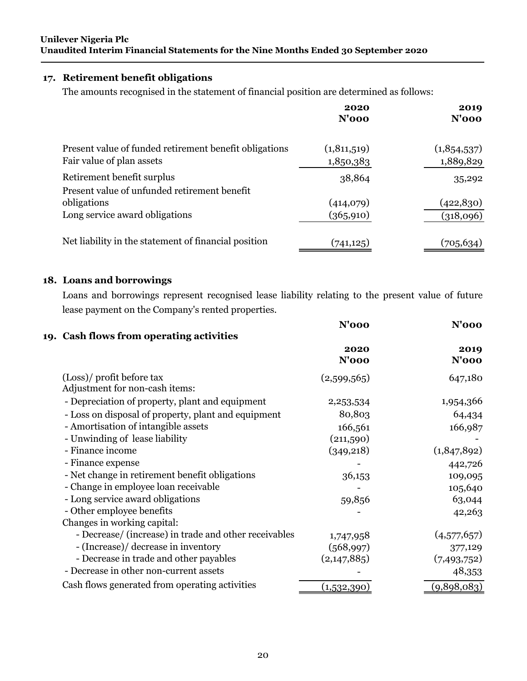## **17. Retirement benefit obligations**

The amounts recognised in the statement of financial position are determined as follows:

|                                                                                     | 2020<br>$N'$ 000           | 2019<br>$N'$ 000         |
|-------------------------------------------------------------------------------------|----------------------------|--------------------------|
| Present value of funded retirement benefit obligations<br>Fair value of plan assets | (1, 811, 519)<br>1,850,383 | (1,854,537)<br>1,889,829 |
| Retirement benefit surplus<br>Present value of unfunded retirement benefit          | 38,864                     | 35,292                   |
| obligations<br>Long service award obligations                                       | (414,079)<br>(365, 910)    | (422, 830)<br>(318,096)  |
| Net liability in the statement of financial position                                | (741, 125)                 | (705,634)                |

# **18. Loans and borrowings**

Loans and borrowings represent recognised lease liability relating to the present value of future lease payment on the Company's rented properties.

|                                                       | N'ooo                                    | N'ooo              |
|-------------------------------------------------------|------------------------------------------|--------------------|
|                                                       |                                          |                    |
|                                                       | 2020                                     | 2019               |
|                                                       | $N'$ 000                                 | $N'$ 000           |
| (Loss)/ profit before tax                             | (2,599,565)                              | 647,180            |
| Adjustment for non-cash items:                        |                                          |                    |
| - Depreciation of property, plant and equipment       | 2,253,534                                | 1,954,366          |
| - Loss on disposal of property, plant and equipment   | 80,803                                   | 64,434             |
| - Amortisation of intangible assets                   | 166,561                                  | 166,987            |
| - Unwinding of lease liability                        | (211,590)                                |                    |
| - Finance income                                      | (349, 218)                               | (1,847,892)        |
| - Finance expense                                     |                                          | 442,726            |
| - Net change in retirement benefit obligations        | 36,153                                   | 109,095            |
| - Change in employee loan receivable                  |                                          | 105,640            |
| - Long service award obligations                      | 59,856                                   | 63,044             |
| - Other employee benefits                             |                                          | 42,263             |
| Changes in working capital:                           |                                          |                    |
| - Decrease/ (increase) in trade and other receivables | 1,747,958                                | (4,577,657)        |
| - (Increase)/ decrease in inventory                   | (568,997)                                | 377,129            |
| - Decrease in trade and other payables                | (2, 147, 885)                            | (7,493,752)        |
| - Decrease in other non-current assets                |                                          | 48,353             |
| Cash flows generated from operating activities        |                                          | (9,898,083)        |
|                                                       | 19. Cash flows from operating activities | <u>(1,532,390)</u> |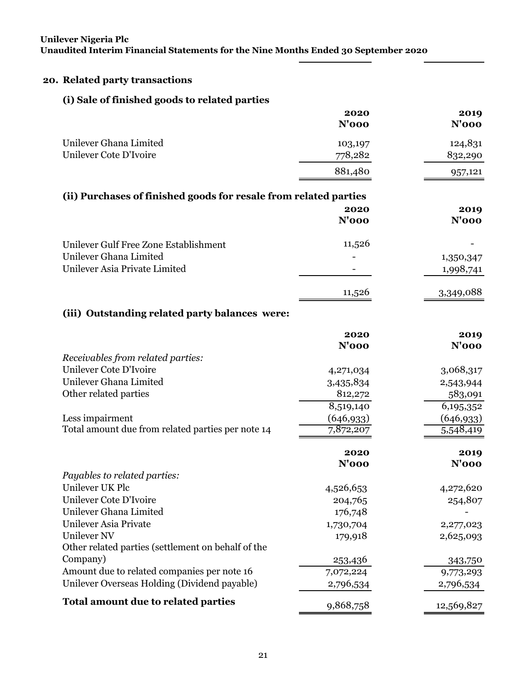# **20. Related party transactions**

# **(i) Sale of finished goods to related parties**

|                                                                  | 2020<br><b>N'000</b> | 2019<br><b>N'000</b> |
|------------------------------------------------------------------|----------------------|----------------------|
|                                                                  |                      |                      |
| Unilever Ghana Limited                                           | 103,197              | 124,831              |
| Unilever Cote D'Ivoire                                           | 778,282              | 832,290              |
|                                                                  | 881,480              | 957,121              |
| (ii) Purchases of finished goods for resale from related parties |                      |                      |
|                                                                  | 2020                 | 2019                 |
|                                                                  | <b>N'000</b>         | <b>N'000</b>         |
| Unilever Gulf Free Zone Establishment                            | 11,526               |                      |
| Unilever Ghana Limited                                           |                      | 1,350,347            |
| Unilever Asia Private Limited                                    |                      | 1,998,741            |
|                                                                  | 11,526               | 3,349,088            |
| (iii) Outstanding related party balances were:                   |                      |                      |
|                                                                  | 2020                 | 2019                 |
|                                                                  | <b>N'000</b>         | <b>N'000</b>         |
| Receivables from related parties:                                |                      |                      |
| Unilever Cote D'Ivoire                                           | 4,271,034            | 3,068,317            |
| Unilever Ghana Limited                                           | 3,435,834            | 2,543,944            |
| Other related parties                                            | 812,272              | 583,091              |
|                                                                  | 8,519,140            | 6,195,352            |
| Less impairment                                                  | (646, 933)           | (646, 933)           |
| Total amount due from related parties per note 14                | 7,872,207            | 5,548,419            |
|                                                                  | 2020                 | 2019                 |
|                                                                  | <b>N'000</b>         | <b>N'000</b>         |
| Payables to related parties:                                     |                      |                      |
| Unilever UK Plc                                                  | 4,526,653            | 4,272,620            |
| Unilever Cote D'Ivoire                                           | 204,765              | 254,807              |
| Unilever Ghana Limited                                           | 176,748              |                      |
| Unilever Asia Private                                            | 1,730,704            | 2,277,023            |
| <b>Unilever NV</b>                                               | 179,918              | 2,625,093            |
| Other related parties (settlement on behalf of the               |                      |                      |
| Company)                                                         | 253,436              | 343,750              |
| Amount due to related companies per note 16                      | 7,072,224            | 9,773,293            |
| Unilever Overseas Holding (Dividend payable)                     | 2,796,534            | 2,796,534            |
| Total amount due to related parties                              | 9,868,758            | 12,569,827           |